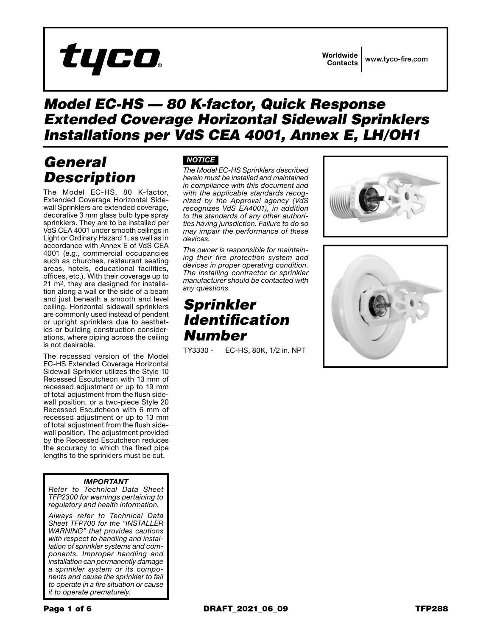

### *Model EC-HS — 80 K-factor, Quick Response Extended Coverage Horizontal Sidewall Sprinklers Installations per VdS CEA 4001, Annex E, LH/OH1*

## *General Description*

The Model EC-HS, 80 K-factor, Extended Coverage Horizontal Sidewall Sprinklers are extended coverage, decorative 3 mm glass bulb type spray sprinklers. They are to be installed per VdS CEA 4001 under smooth ceilings in Light or Ordinary Hazard 1, as well as in accordance with Annex E of VdS CEA 4001 (e.g., commercial occupancies such as churches, restaurant seating areas, hotels, educational facilities, offices, etc.). With their coverage up to 21 m2, they are designed for installation along a wall or the side of a beam and just beneath a smooth and level ceiling. Horizontal sidewall sprinklers are commonly used instead of pendent or upright sprinklers due to aesthetics or building construction considerations, where piping across the ceiling is not desirable.

The recessed version of the Model EC-HS Extended Coverage Horizontal Sidewall Sprinkler utilizes the Style 10 Recessed Escutcheon with 13 mm of recessed adjustment or up to 19 mm of total adjustment from the flush sidewall position, or a two-piece Style 20 Recessed Escutcheon with 6 mm of recessed adjustment or up to 13 mm of total adjustment from the flush sidewall position. The adjustment provided by the Recessed Escutcheon reduces the accuracy to which the fixed pipe lengths to the sprinklers must be cut.

### *IMPORTANT*

*Refer to Technical Data Sheet TFP2300 for warnings pertaining to regulatory and health information.*

*Always refer to Technical Data Sheet TFP700 for the "INSTALLER WARNING" that provides cautions with respect to handling and installation of sprinkler systems and components. Improper handling and installation can permanently damage a sprinkler system or its components and cause the sprinkler to fail to operate in a fire situation or cause it to operate prematurely.*

### *NOTICE*

*The Model EC-HS Sprinklers described herein must be installed and maintained in compliance with this document and with the applicable standards recognized by the Approval agency (VdS recognizes VdS EA4001), in addition to the standards of any other authorities having jurisdiction. Failure to do so may impair the performance of these devices.*

*The owner is responsible for maintaining their fire protection system and devices in proper operating condition. The installing contractor or sprinkler manufacturer should be contacted with any questions.*

### *Sprinkler Identification Number*

TY3330 - EC-HS, 80K, 1/2 in. NPT



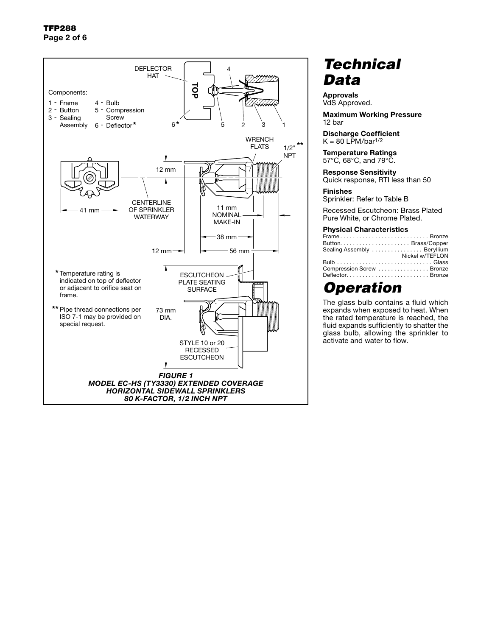

## *Technical Data*

Approvals VdS Approved.

Maximum Working Pressure 12 bar

Discharge Coefficient  $K = 80$  LPM/bar<sup>1/2</sup>

Temperature Ratings 57°C, 68°C, and 79°C.

Response Sensitivity Quick response, RTI less than 50

Finishes

Sprinkler: Refer to Table B

Recessed Escutcheon: Brass Plated Pure White, or Chrome Plated.

#### Physical Characteristics

| FrameBronze                 |                 |
|-----------------------------|-----------------|
|                             |                 |
| Sealing Assembly  Beryllium |                 |
|                             | Nickel w/TEFLON |
|                             |                 |
| Compression Screw Bronze    |                 |
| DeflectorBronze             |                 |

### *Operation*

The glass bulb contains a fluid which expands when exposed to heat. When the rated temperature is reached, the fluid expands sufficiently to shatter the glass bulb, allowing the sprinkler to activate and water to flow.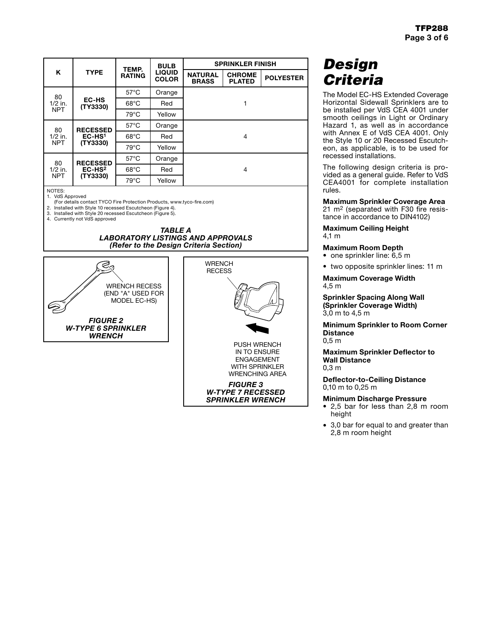| Κ                             | <b>TYPE</b>                                          | TEMP.<br><b>RATING</b> | <b>BULB</b><br><b>LIQUID</b><br><b>COLOR</b> | <b>SPRINKLER FINISH</b>        |                                |                  |
|-------------------------------|------------------------------------------------------|------------------------|----------------------------------------------|--------------------------------|--------------------------------|------------------|
|                               |                                                      |                        |                                              | <b>NATURAL</b><br><b>BRASS</b> | <b>CHROME</b><br><b>PLATED</b> | <b>POLYESTER</b> |
| 80<br>$1/2$ in.<br><b>NPT</b> | <b>EC-HS</b><br>(TY3330)                             | $57^{\circ}$ C         | Orange                                       |                                |                                |                  |
|                               |                                                      | $68^{\circ}$ C         | Red                                          |                                | 1                              |                  |
|                               |                                                      | $79^{\circ}$ C         | Yellow                                       |                                |                                |                  |
| 80<br>$1/2$ in.<br><b>NPT</b> | <b>RECESSED</b><br>EC-HS <sup>1</sup><br>(TY3330)    | $57^{\circ}$ C         | Orange                                       |                                |                                |                  |
|                               |                                                      | $68^{\circ}$ C         | Red                                          | 4                              |                                |                  |
|                               |                                                      | $79^{\circ}$ C         | Yellow                                       |                                |                                |                  |
| 80<br>$1/2$ in.<br><b>NPT</b> | <b>RECESSED</b><br>$EC$ -HS <sup>2</sup><br>(TY3330) | $57^{\circ}$ C         | Orange                                       |                                |                                |                  |
|                               |                                                      | $68^{\circ}$ C         | Red                                          |                                | 4                              |                  |
|                               |                                                      | $79^{\circ}$ C         | Yellow                                       |                                |                                |                  |

NOTES: 1. VdS Approved

(For details contact TYCO Fire Protection Products, www.tyco-fire.com)

2. Installed with Style 10 recessed Escutcheon (Figure 4).

3. Installed with Style 20 recessed Escutcheon (Figure 5).

4. Currently not VdS approved







## *Design Criteria*

The Model EC-HS Extended Coverage Horizontal Sidewall Sprinklers are to be installed per VdS CEA 4001 under smooth ceilings in Light or Ordinary Hazard 1, as well as in accordance with Annex E of VdS CEA 4001. Only the Style 10 or 20 Recessed Escutcheon, as applicable, is to be used for recessed installations.

The following design criteria is provided as a general guide. Refer to VdS CEA4001 for complete installation rules.

Maximum Sprinkler Coverage Area 21 m2 (separated with F30 fire resistance in accordance to DIN4102)

Maximum Ceiling Height 4,1 m

#### Maximum Room Depth

• one sprinkler line: 6,5 m

• two opposite sprinkler lines: 11 m

Maximum Coverage Width 4,5 m

Sprinkler Spacing Along Wall (Sprinkler Coverage Width) 3,0 m to 4,5 m

Minimum Sprinkler to Room Corner **Distance** 0,5 m

Maximum Sprinkler Deflector to Wall Distance 0,3 m

Deflector-to-Ceiling Distance 0,10 m to 0,25 m

#### Minimum Discharge Pressure

- 2,5 bar for less than 2,8 m room height
- 3,0 bar for equal to and greater than 2,8 m room height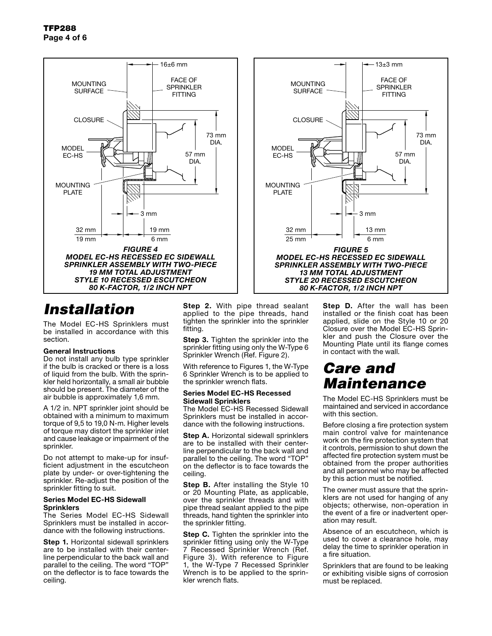

## *Installation*

The Model EC-HS Sprinklers must be installed in accordance with this section.

#### General Instructions

Do not install any bulb type sprinkler if the bulb is cracked or there is a loss of liquid from the bulb. With the sprinkler held horizontally, a small air bubble should be present. The diameter of the air bubble is approximately 1,6 mm.

A 1/2 in. NPT sprinkler joint should be obtained with a minimum to maximum torque of 9,5 to 19,0 N·m. Higher levels of torque may distort the sprinkler inlet and cause leakage or impairment of the sprinkler.

Do not attempt to make-up for insufficient adjustment in the escutcheon plate by under- or over-tightening the sprinkler. Re-adjust the position of the sprinkler fitting to suit.

#### Series Model EC-HS Sidewall **Sprinklers**

The Series Model EC-HS Sidewall Sprinklers must be installed in accordance with the following instructions.

**Step 1.** Horizontal sidewall sprinklers are to be installed with their centerline perpendicular to the back wall and parallel to the ceiling. The word "TOP" on the deflector is to face towards the ceiling.

**Step 2.** With pipe thread sealant applied to the pipe threads, hand tighten the sprinkler into the sprinkler fitting.

**Step 3.** Tighten the sprinkler into the sprinkler fitting using only the W-Type 6 Sprinkler Wrench (Ref. Figure 2).

With reference to Figures 1, the W-Type 6 Sprinkler Wrench is to be applied to the sprinkler wrench flats.

### Series Model EC-HS Recessed Sidewall Sprinklers

The Model EC-HS Recessed Sidewall Sprinklers must be installed in accordance with the following instructions.

**Step A.** Horizontal sidewall sprinklers are to be installed with their centerline perpendicular to the back wall and parallel to the ceiling. The word "TOP" on the deflector is to face towards the ceiling.

**Step B.** After installing the Style 10 or 20 Mounting Plate, as applicable, over the sprinkler threads and with pipe thread sealant applied to the pipe threads, hand tighten the sprinkler into the sprinkler fitting.

**Step C.** Tighten the sprinkler into the sprinkler fitting using only the W-Type 7 Recessed Sprinkler Wrench (Ref. Figure 3). With reference to Figure 1, the W-Type 7 Recessed Sprinkler Wrench is to be applied to the sprinkler wrench flats.

**Step D.** After the wall has been installed or the finish coat has been applied, slide on the Style 10 or 20 Closure over the Model EC-HS Sprinkler and push the Closure over the Mounting Plate until its flange comes in contact with the wall.

### *Care and Maintenance*

*FIGURE 5 MODEL EC-HS RECESSED EC SIDEWALL SPRINKLER ASSEMBLY WITH TWO-PIECE 13 MM TOTAL ADJUSTMENT STYLE 20 RECESSED ESCUTCHEON 80 K-FACTOR, 1/2 INCH NPT*

13 mm 6 mm

57 mm DIA.

FACE OF **SPRINKLER FITTING** 

 $-13+3$  mm

73 mm DIA.

3 mm

**CLOSURE** 

MOLINTING **SURFACE** 

32 mm 25 mm

MOUNTING PLATE

MODEL EC-HS

> The Model EC-HS Sprinklers must be maintained and serviced in accordance with this section.

> Before closing a fire protection system main control valve for maintenance work on the fire protection system that it controls, permission to shut down the affected fire protection system must be obtained from the proper authorities and all personnel who may be affected by this action must be notified.

> The owner must assure that the sprinklers are not used for hanging of any objects; otherwise, non-operation in the event of a fire or inadvertent operation may result.

> Absence of an escutcheon, which is used to cover a clearance hole, may delay the time to sprinkler operation in a fire situation.

> Sprinklers that are found to be leaking or exhibiting visible signs of corrosion must be replaced.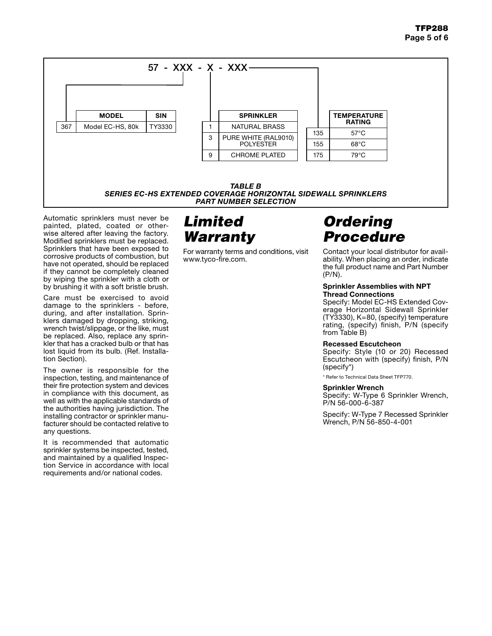

*PART NUMBER SELECTION*

Automatic sprinklers must never be painted, plated, coated or otherwise altered after leaving the factory. Modified sprinklers must be replaced. Sprinklers that have been exposed to corrosive products of combustion, but have not operated, should be replaced if they cannot be completely cleaned by wiping the sprinkler with a cloth or by brushing it with a soft bristle brush.

Care must be exercised to avoid damage to the sprinklers - before, during, and after installation. Sprinklers damaged by dropping, striking, wrench twist/slippage, or the like, must be replaced. Also, replace any sprinkler that has a cracked bulb or that has lost liquid from its bulb. (Ref. Installation Section).

The owner is responsible for the inspection, testing, and maintenance of their fire protection system and devices in compliance with this document, as well as with the applicable standards of the authorities having jurisdiction. The installing contractor or sprinkler manufacturer should be contacted relative to any questions.

It is recommended that automatic sprinkler systems be inspected, tested, and maintained by a qualified Inspection Service in accordance with local requirements and/or national codes.

## *Limited Warranty*

For warranty terms and conditions, visit www.tyco-fire.com.

# *Ordering Procedure*

Contact your local distributor for availability. When placing an order, indicate the full product name and Part Number (P/N).

#### Sprinkler Assemblies with NPT Thread Connections

Specify: Model EC-HS Extended Coverage Horizontal Sidewall Sprinkler (TY3330), K=80, (specify) temperature rating, (specify) finish, P/N (specify from Table B)

### Recessed Escutcheon

Specify: Style (10 or 20) Recessed Escutcheon with (specify) finish, P/N (specify\*)

\* Refer to Technical Data Sheet TFP770.

### Sprinkler Wrench

Specify: W-Type 6 Sprinkler Wrench, P/N 56-000-6-387

Specify: W-Type 7 Recessed Sprinkler Wrench, P/N 56-850-4-001